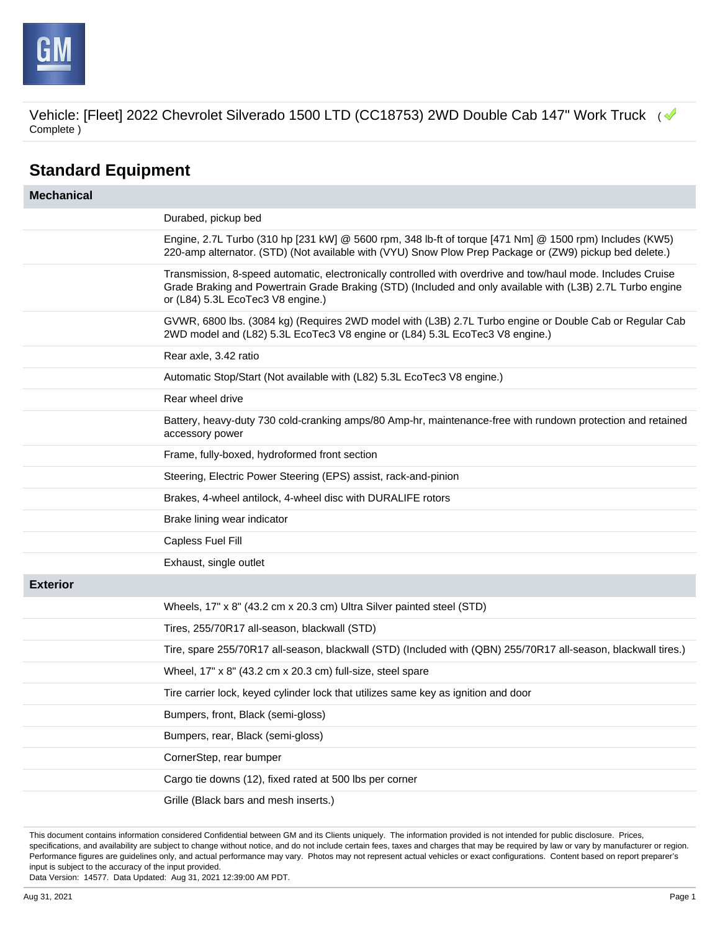

# **Standard Equipment**

| <b>Mechanical</b> |                                                                                                                                                                                                                                                                 |
|-------------------|-----------------------------------------------------------------------------------------------------------------------------------------------------------------------------------------------------------------------------------------------------------------|
|                   | Durabed, pickup bed                                                                                                                                                                                                                                             |
|                   | Engine, 2.7L Turbo (310 hp [231 kW] @ 5600 rpm, 348 lb-ft of torque [471 Nm] @ 1500 rpm) Includes (KW5)<br>220-amp alternator. (STD) (Not available with (VYU) Snow Plow Prep Package or (ZW9) pickup bed delete.)                                              |
|                   | Transmission, 8-speed automatic, electronically controlled with overdrive and tow/haul mode. Includes Cruise<br>Grade Braking and Powertrain Grade Braking (STD) (Included and only available with (L3B) 2.7L Turbo engine<br>or (L84) 5.3L EcoTec3 V8 engine.) |
|                   | GVWR, 6800 lbs. (3084 kg) (Requires 2WD model with (L3B) 2.7L Turbo engine or Double Cab or Regular Cab<br>2WD model and (L82) 5.3L EcoTec3 V8 engine or (L84) 5.3L EcoTec3 V8 engine.)                                                                         |
|                   | Rear axle, 3.42 ratio                                                                                                                                                                                                                                           |
|                   | Automatic Stop/Start (Not available with (L82) 5.3L EcoTec3 V8 engine.)                                                                                                                                                                                         |
|                   | Rear wheel drive                                                                                                                                                                                                                                                |
|                   | Battery, heavy-duty 730 cold-cranking amps/80 Amp-hr, maintenance-free with rundown protection and retained<br>accessory power                                                                                                                                  |
|                   | Frame, fully-boxed, hydroformed front section                                                                                                                                                                                                                   |
|                   | Steering, Electric Power Steering (EPS) assist, rack-and-pinion                                                                                                                                                                                                 |
|                   | Brakes, 4-wheel antilock, 4-wheel disc with DURALIFE rotors                                                                                                                                                                                                     |
|                   | Brake lining wear indicator                                                                                                                                                                                                                                     |
|                   | Capless Fuel Fill                                                                                                                                                                                                                                               |
|                   | Exhaust, single outlet                                                                                                                                                                                                                                          |
| <b>Exterior</b>   |                                                                                                                                                                                                                                                                 |
|                   | Wheels, 17" x 8" (43.2 cm x 20.3 cm) Ultra Silver painted steel (STD)                                                                                                                                                                                           |
|                   | Tires, 255/70R17 all-season, blackwall (STD)                                                                                                                                                                                                                    |
|                   | Tire, spare 255/70R17 all-season, blackwall (STD) (Included with (QBN) 255/70R17 all-season, blackwall tires.)                                                                                                                                                  |
|                   | Wheel, 17" x 8" (43.2 cm x 20.3 cm) full-size, steel spare                                                                                                                                                                                                      |
|                   | Tire carrier lock, keyed cylinder lock that utilizes same key as ignition and door                                                                                                                                                                              |
|                   | Bumpers, front, Black (semi-gloss)                                                                                                                                                                                                                              |
|                   | Bumpers, rear, Black (semi-gloss)                                                                                                                                                                                                                               |
|                   | CornerStep, rear bumper                                                                                                                                                                                                                                         |
|                   | Cargo tie downs (12), fixed rated at 500 lbs per corner                                                                                                                                                                                                         |
|                   | Grille (Black bars and mesh inserts.)                                                                                                                                                                                                                           |

This document contains information considered Confidential between GM and its Clients uniquely. The information provided is not intended for public disclosure. Prices, specifications, and availability are subject to change without notice, and do not include certain fees, taxes and charges that may be required by law or vary by manufacturer or region. Performance figures are guidelines only, and actual performance may vary. Photos may not represent actual vehicles or exact configurations. Content based on report preparer's input is subject to the accuracy of the input provided.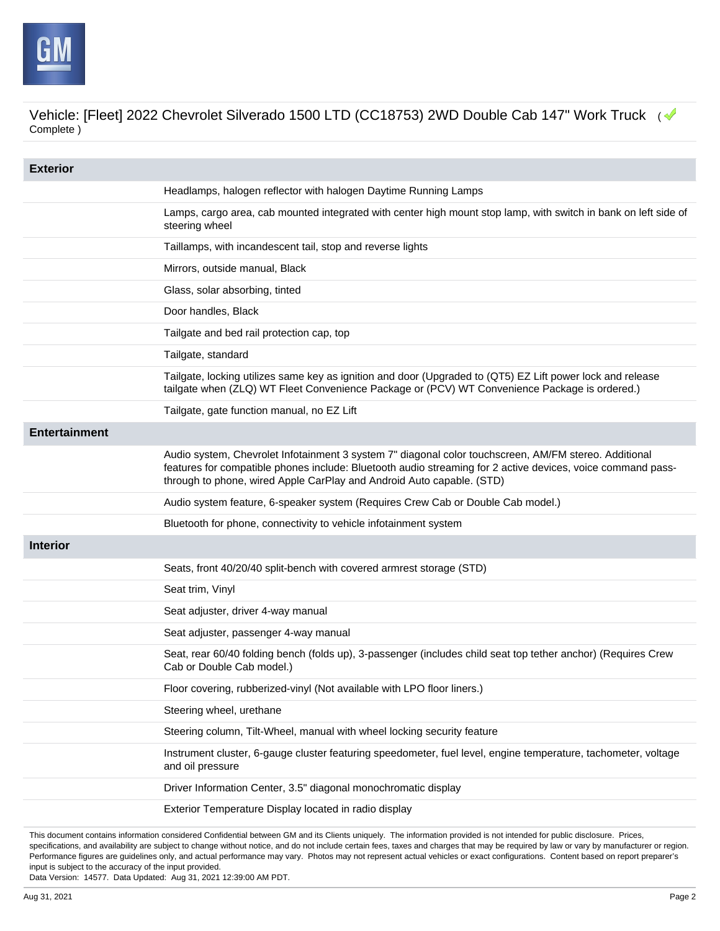

| <b>Exterior</b>      |                                                                                                                                                                                                                                                                                               |
|----------------------|-----------------------------------------------------------------------------------------------------------------------------------------------------------------------------------------------------------------------------------------------------------------------------------------------|
|                      | Headlamps, halogen reflector with halogen Daytime Running Lamps                                                                                                                                                                                                                               |
|                      | Lamps, cargo area, cab mounted integrated with center high mount stop lamp, with switch in bank on left side of<br>steering wheel                                                                                                                                                             |
|                      | Taillamps, with incandescent tail, stop and reverse lights                                                                                                                                                                                                                                    |
|                      | Mirrors, outside manual, Black                                                                                                                                                                                                                                                                |
|                      | Glass, solar absorbing, tinted                                                                                                                                                                                                                                                                |
|                      | Door handles, Black                                                                                                                                                                                                                                                                           |
|                      | Tailgate and bed rail protection cap, top                                                                                                                                                                                                                                                     |
|                      | Tailgate, standard                                                                                                                                                                                                                                                                            |
|                      | Tailgate, locking utilizes same key as ignition and door (Upgraded to (QT5) EZ Lift power lock and release<br>tailgate when (ZLQ) WT Fleet Convenience Package or (PCV) WT Convenience Package is ordered.)                                                                                   |
|                      | Tailgate, gate function manual, no EZ Lift                                                                                                                                                                                                                                                    |
| <b>Entertainment</b> |                                                                                                                                                                                                                                                                                               |
|                      | Audio system, Chevrolet Infotainment 3 system 7" diagonal color touchscreen, AM/FM stereo. Additional<br>features for compatible phones include: Bluetooth audio streaming for 2 active devices, voice command pass-<br>through to phone, wired Apple CarPlay and Android Auto capable. (STD) |
|                      | Audio system feature, 6-speaker system (Requires Crew Cab or Double Cab model.)                                                                                                                                                                                                               |
|                      | Bluetooth for phone, connectivity to vehicle infotainment system                                                                                                                                                                                                                              |
| <b>Interior</b>      |                                                                                                                                                                                                                                                                                               |
|                      | Seats, front 40/20/40 split-bench with covered armrest storage (STD)                                                                                                                                                                                                                          |
|                      | Seat trim, Vinyl                                                                                                                                                                                                                                                                              |
|                      | Seat adjuster, driver 4-way manual                                                                                                                                                                                                                                                            |
|                      | Seat adjuster, passenger 4-way manual                                                                                                                                                                                                                                                         |
|                      | Seat, rear 60/40 folding bench (folds up), 3-passenger (includes child seat top tether anchor) (Requires Crew<br>Cab or Double Cab model.)                                                                                                                                                    |
|                      | Floor covering, rubberized-vinyl (Not available with LPO floor liners.)                                                                                                                                                                                                                       |
|                      | Steering wheel, urethane                                                                                                                                                                                                                                                                      |
|                      | Steering column, Tilt-Wheel, manual with wheel locking security feature                                                                                                                                                                                                                       |
|                      | Instrument cluster, 6-gauge cluster featuring speedometer, fuel level, engine temperature, tachometer, voltage<br>and oil pressure                                                                                                                                                            |
|                      | Driver Information Center, 3.5" diagonal monochromatic display                                                                                                                                                                                                                                |
|                      | Exterior Temperature Display located in radio display                                                                                                                                                                                                                                         |

This document contains information considered Confidential between GM and its Clients uniquely. The information provided is not intended for public disclosure. Prices, specifications, and availability are subject to change without notice, and do not include certain fees, taxes and charges that may be required by law or vary by manufacturer or region. Performance figures are guidelines only, and actual performance may vary. Photos may not represent actual vehicles or exact configurations. Content based on report preparer's input is subject to the accuracy of the input provided.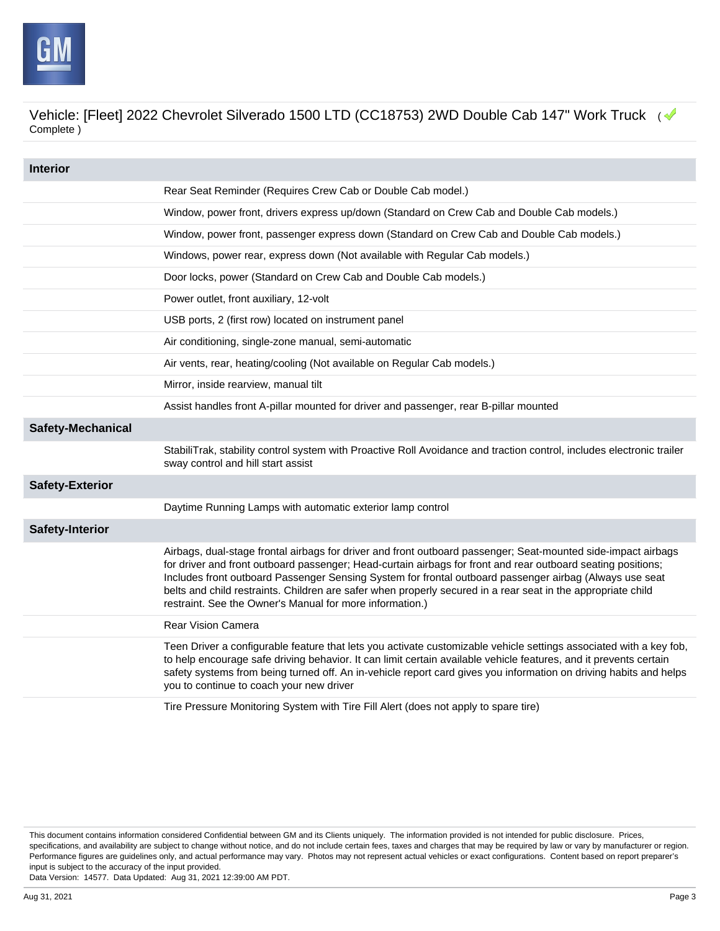

| <b>Interior</b>          |                                                                                                                                                                                                                                                                                                                                                                                                                                                                                                                      |
|--------------------------|----------------------------------------------------------------------------------------------------------------------------------------------------------------------------------------------------------------------------------------------------------------------------------------------------------------------------------------------------------------------------------------------------------------------------------------------------------------------------------------------------------------------|
|                          | Rear Seat Reminder (Requires Crew Cab or Double Cab model.)                                                                                                                                                                                                                                                                                                                                                                                                                                                          |
|                          | Window, power front, drivers express up/down (Standard on Crew Cab and Double Cab models.)                                                                                                                                                                                                                                                                                                                                                                                                                           |
|                          | Window, power front, passenger express down (Standard on Crew Cab and Double Cab models.)                                                                                                                                                                                                                                                                                                                                                                                                                            |
|                          | Windows, power rear, express down (Not available with Regular Cab models.)                                                                                                                                                                                                                                                                                                                                                                                                                                           |
|                          | Door locks, power (Standard on Crew Cab and Double Cab models.)                                                                                                                                                                                                                                                                                                                                                                                                                                                      |
|                          | Power outlet, front auxiliary, 12-volt                                                                                                                                                                                                                                                                                                                                                                                                                                                                               |
|                          | USB ports, 2 (first row) located on instrument panel                                                                                                                                                                                                                                                                                                                                                                                                                                                                 |
|                          | Air conditioning, single-zone manual, semi-automatic                                                                                                                                                                                                                                                                                                                                                                                                                                                                 |
|                          | Air vents, rear, heating/cooling (Not available on Regular Cab models.)                                                                                                                                                                                                                                                                                                                                                                                                                                              |
|                          | Mirror, inside rearview, manual tilt                                                                                                                                                                                                                                                                                                                                                                                                                                                                                 |
|                          | Assist handles front A-pillar mounted for driver and passenger, rear B-pillar mounted                                                                                                                                                                                                                                                                                                                                                                                                                                |
| <b>Safety-Mechanical</b> |                                                                                                                                                                                                                                                                                                                                                                                                                                                                                                                      |
|                          | StabiliTrak, stability control system with Proactive Roll Avoidance and traction control, includes electronic trailer<br>sway control and hill start assist                                                                                                                                                                                                                                                                                                                                                          |
| <b>Safety-Exterior</b>   |                                                                                                                                                                                                                                                                                                                                                                                                                                                                                                                      |
|                          | Daytime Running Lamps with automatic exterior lamp control                                                                                                                                                                                                                                                                                                                                                                                                                                                           |
| <b>Safety-Interior</b>   |                                                                                                                                                                                                                                                                                                                                                                                                                                                                                                                      |
|                          | Airbags, dual-stage frontal airbags for driver and front outboard passenger; Seat-mounted side-impact airbags<br>for driver and front outboard passenger; Head-curtain airbags for front and rear outboard seating positions;<br>Includes front outboard Passenger Sensing System for frontal outboard passenger airbag (Always use seat<br>belts and child restraints. Children are safer when properly secured in a rear seat in the appropriate child<br>restraint. See the Owner's Manual for more information.) |
|                          | <b>Rear Vision Camera</b>                                                                                                                                                                                                                                                                                                                                                                                                                                                                                            |
|                          | Teen Driver a configurable feature that lets you activate customizable vehicle settings associated with a key fob,<br>to help encourage safe driving behavior. It can limit certain available vehicle features, and it prevents certain<br>safety systems from being turned off. An in-vehicle report card gives you information on driving habits and helps<br>you to continue to coach your new driver                                                                                                             |
|                          | Tire Pressure Monitoring System with Tire Fill Alert (does not apply to spare tire)                                                                                                                                                                                                                                                                                                                                                                                                                                  |

This document contains information considered Confidential between GM and its Clients uniquely. The information provided is not intended for public disclosure. Prices, specifications, and availability are subject to change without notice, and do not include certain fees, taxes and charges that may be required by law or vary by manufacturer or region. Performance figures are guidelines only, and actual performance may vary. Photos may not represent actual vehicles or exact configurations. Content based on report preparer's input is subject to the accuracy of the input provided.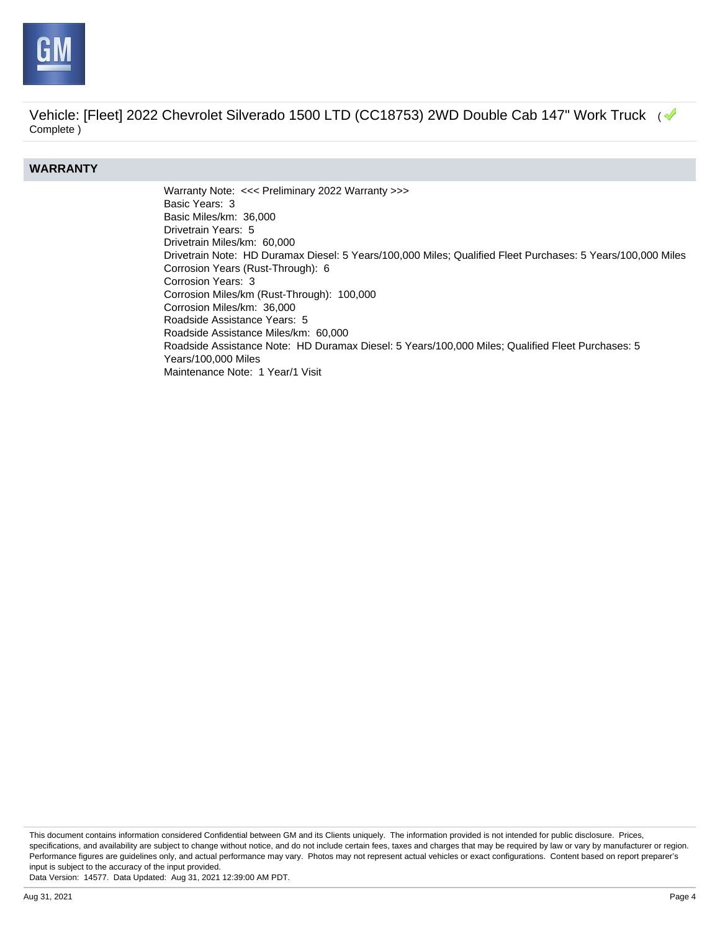

#### **WARRANTY**

Warranty Note: <<< Preliminary 2022 Warranty >>> Basic Years: 3 Basic Miles/km: 36,000 Drivetrain Years: 5 Drivetrain Miles/km: 60,000 Drivetrain Note: HD Duramax Diesel: 5 Years/100,000 Miles; Qualified Fleet Purchases: 5 Years/100,000 Miles Corrosion Years (Rust-Through): 6 Corrosion Years: 3 Corrosion Miles/km (Rust-Through): 100,000 Corrosion Miles/km: 36,000 Roadside Assistance Years: 5 Roadside Assistance Miles/km: 60,000 Roadside Assistance Note: HD Duramax Diesel: 5 Years/100,000 Miles; Qualified Fleet Purchases: 5 Years/100,000 Miles Maintenance Note: 1 Year/1 Visit

This document contains information considered Confidential between GM and its Clients uniquely. The information provided is not intended for public disclosure. Prices, specifications, and availability are subject to change without notice, and do not include certain fees, taxes and charges that may be required by law or vary by manufacturer or region. Performance figures are guidelines only, and actual performance may vary. Photos may not represent actual vehicles or exact configurations. Content based on report preparer's input is subject to the accuracy of the input provided.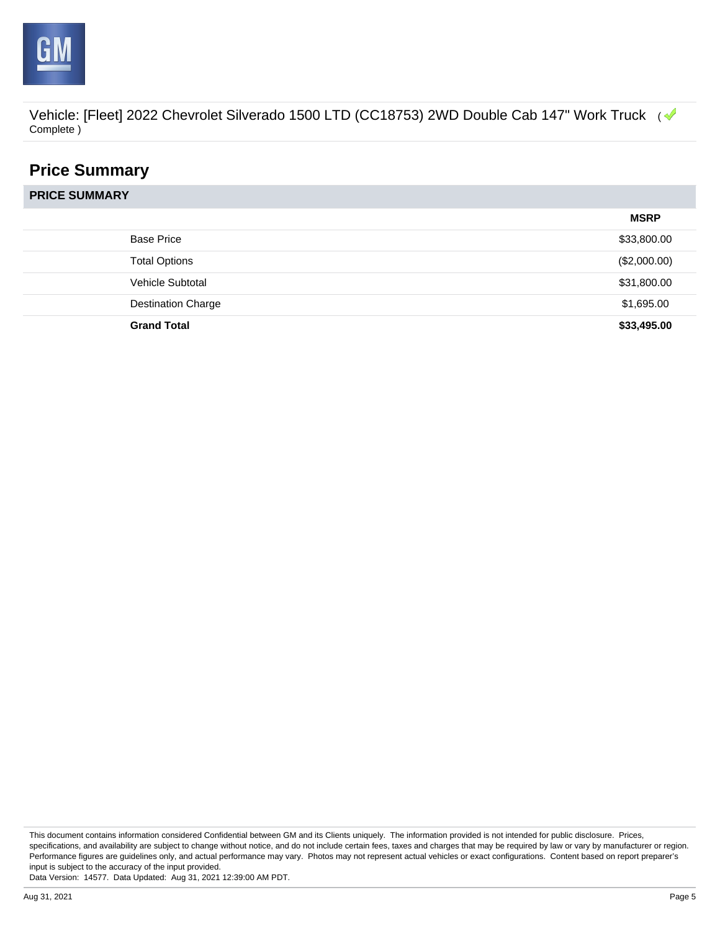

## **Price Summary**

**PRICE SUMMARY**

|                           | <b>MSRP</b>  |
|---------------------------|--------------|
| <b>Base Price</b>         | \$33,800.00  |
| <b>Total Options</b>      | (\$2,000.00) |
| Vehicle Subtotal          | \$31,800.00  |
| <b>Destination Charge</b> | \$1,695.00   |
| <b>Grand Total</b>        | \$33,495.00  |

This document contains information considered Confidential between GM and its Clients uniquely. The information provided is not intended for public disclosure. Prices, specifications, and availability are subject to change without notice, and do not include certain fees, taxes and charges that may be required by law or vary by manufacturer or region. Performance figures are guidelines only, and actual performance may vary. Photos may not represent actual vehicles or exact configurations. Content based on report preparer's input is subject to the accuracy of the input provided.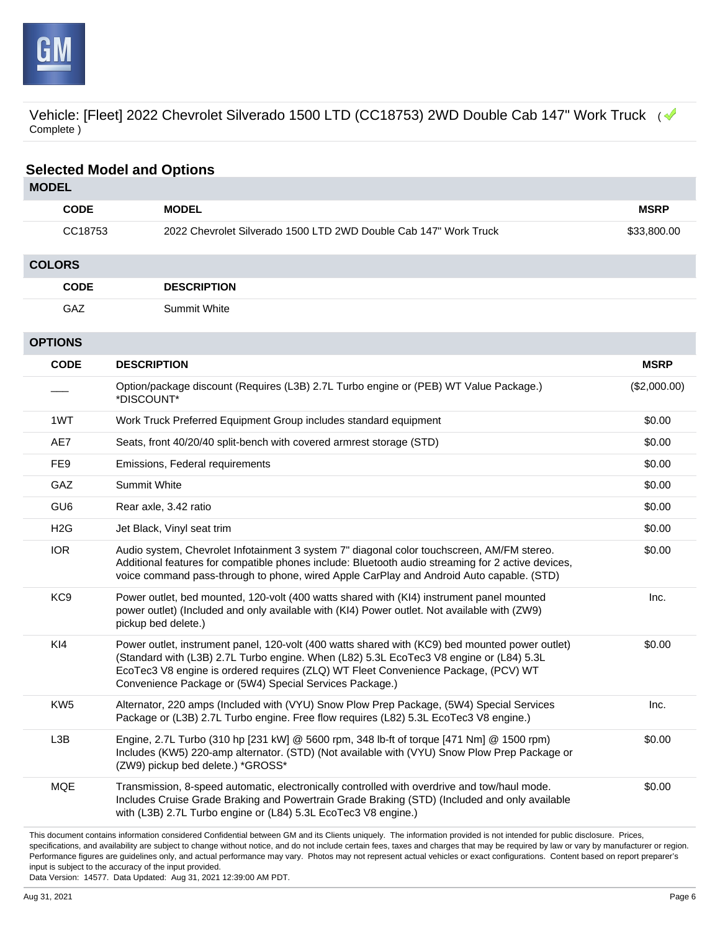

### **Selected Model and Options**

| <b>MODEL</b>                                                                                                                                                           |                                                                                                                                                                                                                                                                                                                                             |              |  |
|------------------------------------------------------------------------------------------------------------------------------------------------------------------------|---------------------------------------------------------------------------------------------------------------------------------------------------------------------------------------------------------------------------------------------------------------------------------------------------------------------------------------------|--------------|--|
| <b>CODE</b>                                                                                                                                                            | <b>MODEL</b>                                                                                                                                                                                                                                                                                                                                | <b>MSRP</b>  |  |
| CC18753                                                                                                                                                                | 2022 Chevrolet Silverado 1500 LTD 2WD Double Cab 147" Work Truck                                                                                                                                                                                                                                                                            | \$33,800.00  |  |
| <b>COLORS</b>                                                                                                                                                          |                                                                                                                                                                                                                                                                                                                                             |              |  |
| <b>CODE</b>                                                                                                                                                            | <b>DESCRIPTION</b>                                                                                                                                                                                                                                                                                                                          |              |  |
| GAZ                                                                                                                                                                    | <b>Summit White</b>                                                                                                                                                                                                                                                                                                                         |              |  |
| <b>OPTIONS</b>                                                                                                                                                         |                                                                                                                                                                                                                                                                                                                                             |              |  |
| <b>CODE</b>                                                                                                                                                            | <b>DESCRIPTION</b>                                                                                                                                                                                                                                                                                                                          | <b>MSRP</b>  |  |
|                                                                                                                                                                        | Option/package discount (Requires (L3B) 2.7L Turbo engine or (PEB) WT Value Package.)<br>*DISCOUNT*                                                                                                                                                                                                                                         | (\$2,000.00) |  |
| 1WT                                                                                                                                                                    | Work Truck Preferred Equipment Group includes standard equipment                                                                                                                                                                                                                                                                            | \$0.00       |  |
| AE7                                                                                                                                                                    | Seats, front 40/20/40 split-bench with covered armrest storage (STD)                                                                                                                                                                                                                                                                        | \$0.00       |  |
| FE <sub>9</sub>                                                                                                                                                        | Emissions, Federal requirements                                                                                                                                                                                                                                                                                                             | \$0.00       |  |
| GAZ                                                                                                                                                                    | Summit White                                                                                                                                                                                                                                                                                                                                | \$0.00       |  |
| GU <sub>6</sub>                                                                                                                                                        | Rear axle, 3.42 ratio                                                                                                                                                                                                                                                                                                                       | \$0.00       |  |
| H2G                                                                                                                                                                    | Jet Black, Vinyl seat trim                                                                                                                                                                                                                                                                                                                  | \$0.00       |  |
| <b>IOR</b>                                                                                                                                                             | Audio system, Chevrolet Infotainment 3 system 7" diagonal color touchscreen, AM/FM stereo.<br>Additional features for compatible phones include: Bluetooth audio streaming for 2 active devices,<br>voice command pass-through to phone, wired Apple CarPlay and Android Auto capable. (STD)                                                | \$0.00       |  |
| KC <sub>9</sub>                                                                                                                                                        | Power outlet, bed mounted, 120-volt (400 watts shared with (KI4) instrument panel mounted<br>power outlet) (Included and only available with (KI4) Power outlet. Not available with (ZW9)<br>pickup bed delete.)                                                                                                                            | Inc.         |  |
| KI4                                                                                                                                                                    | Power outlet, instrument panel, 120-volt (400 watts shared with (KC9) bed mounted power outlet)<br>(Standard with (L3B) 2.7L Turbo engine. When (L82) 5.3L EcoTec3 V8 engine or (L84) 5.3L<br>EcoTec3 V8 engine is ordered requires (ZLQ) WT Fleet Convenience Package, (PCV) WT<br>Convenience Package or (5W4) Special Services Package.) | \$0.00       |  |
| KW <sub>5</sub>                                                                                                                                                        | Alternator, 220 amps (Included with (VYU) Snow Plow Prep Package, (5W4) Special Services<br>Package or (L3B) 2.7L Turbo engine. Free flow requires (L82) 5.3L EcoTec3 V8 engine.)                                                                                                                                                           | Inc.         |  |
| L3B                                                                                                                                                                    | Engine, 2.7L Turbo (310 hp [231 kW] @ 5600 rpm, 348 lb-ft of torque [471 Nm] @ 1500 rpm)<br>Includes (KW5) 220-amp alternator. (STD) (Not available with (VYU) Snow Plow Prep Package or<br>(ZW9) pickup bed delete.) *GROSS*                                                                                                               | \$0.00       |  |
| <b>MQE</b>                                                                                                                                                             | Transmission, 8-speed automatic, electronically controlled with overdrive and tow/haul mode.<br>Includes Cruise Grade Braking and Powertrain Grade Braking (STD) (Included and only available<br>with (L3B) 2.7L Turbo engine or (L84) 5.3L EcoTec3 V8 engine.)                                                                             | \$0.00       |  |
| This document contains information considered Confidential between GM and its Clients uniquely. The information provided is not intended for public disclosure. Prices |                                                                                                                                                                                                                                                                                                                                             |              |  |

This document contains information considered Confidential between GM and its Clients uniquely. The information provided is not intended for public disclosure. Prices, specifications, and availability are subject to change without notice, and do not include certain fees, taxes and charges that may be required by law or vary by manufacturer or region. Performance figures are guidelines only, and actual performance may vary. Photos may not represent actual vehicles or exact configurations. Content based on report preparer's input is subject to the accuracy of the input provided.